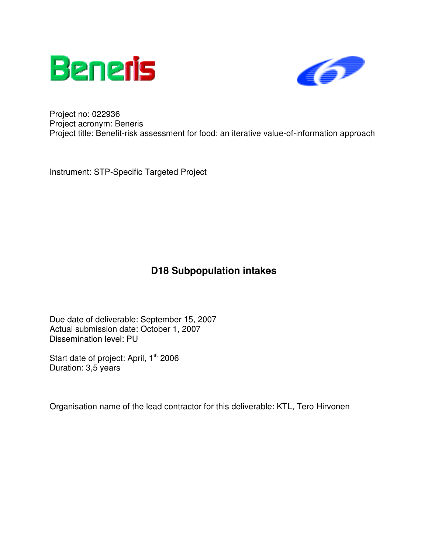



Project no: 022936 Project acronym: Beneris Project title: Benefit-risk assessment for food: an iterative value-of-information approach

Instrument: STP-Specific Targeted Project

## **D18 Subpopulation intakes**

Due date of deliverable: September 15, 2007 Actual submission date: October 1, 2007 Dissemination level: PU

Start date of project: April, 1<sup>st</sup> 2006 Duration: 3,5 years

Organisation name of the lead contractor for this deliverable: KTL, Tero Hirvonen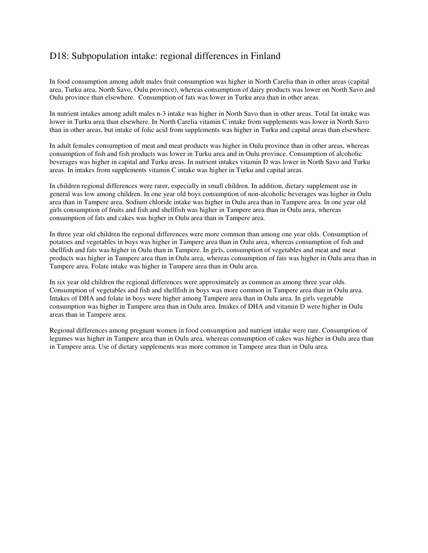## D18: Subpopulation intake: regional differences in Finland

In food consumption among adult males fruit consumption was higher in North Carelia than in other areas (capital area, Turku area, North Savo, Oulu province), whereas consumption of dairy products was lower on North Savo and Oulu province than elsewhere. Consumption of fats was lower in Turku area than in other areas.

In nutrient intakes among adult males n-3 intake was higher in North Savo than in other areas. Total fat intake was lower in Turku area than elsewhere. In North Carelia vitamin C intake from supplements was lower in North Savo than in other areas, but intake of folic acid from supplements was higher in Turku and capital areas than elsewhere.

In adult females consumption of meat and meat products was higher in Oulu province than in other areas, whereas consumption of fish and fish products was lower in Turku area and in Oulu province. Consumption of alcoholic beverages was higher in capital and Turku areas. In nutrient intakes vitamin D was lower in North Savo and Turku areas. In intakes from supplements vitamin C intake was higher in Turku and capital areas.

In children regional differences were rarer, especially in small children. In addition, dietary supplement use in general was low among children. In one year old boys consumption of non-alcoholic beverages was higher in Oulu area than in Tampere area. Sodium chloride intake was higher in Oulu area than in Tampere area. In one year old girls consumption of fruits and fish and shellfish was higher in Tampere area than in Oulu area, whereas consumption of fats and cakes was higher in Oulu area than in Tampere area.

In three year old children the regional differences were more common than among one year olds. Consumption of potatoes and vegetables in boys was higher in Tampere area than in Oulu area, whereas consumption of fish and shellfish and fats was higher in Oulu than in Tampere. In girls, consumption of vegetables and meat and meat products was higher in Tampere area than in Oulu area, whereas consumption of fats was higher in Oulu area than in Tampere area. Folate intake was higher in Tampere area than in Oulu area.

In six year old children the regional differences were approximately as common as among three year olds. Consumption of vegetables and fish and shellfish in boys was more common in Tampere area than in Oulu area. Intakes of DHA and folate in boys were higher among Tampere area than in Oulu area. In girls vegetable consumption was higher in Tampere area than in Oulu area. Intakes of DHA and vitamin D were higher in Oulu areas than in Tampere area.

Regional differences among pregnant women in food consumption and nutrient intake were rare. Consumption of legumes was higher in Tampere area than in Oulu area, whereas consumption of cakes was higher in Oulu area than in Tampere area. Use of dietary supplements was more common in Tampere area than in Oulu area.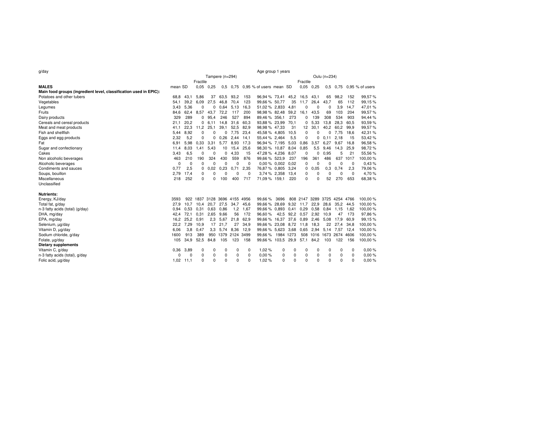| g/day                                                             | Age group 1 years |                |              |                 |           |                              |              |                                  |           |          |                              |                         |             |                |          |                          |  |  |
|-------------------------------------------------------------------|-------------------|----------------|--------------|-----------------|-----------|------------------------------|--------------|----------------------------------|-----------|----------|------------------------------|-------------------------|-------------|----------------|----------|--------------------------|--|--|
|                                                                   |                   |                |              | Tampere (n=294) |           |                              | Oulu (n=234) |                                  |           |          |                              |                         |             |                |          |                          |  |  |
|                                                                   |                   |                | Fractile     |                 |           |                              | Fractile     |                                  |           |          |                              |                         |             |                |          |                          |  |  |
| <b>MALES</b>                                                      | mean SD           |                |              | $0.05$ 0.25     |           |                              |              | 0.5 0.75 0.95 % of users mean SD |           |          |                              | $0.05$ 0.25             |             |                |          | 0.5 0.75 0.95 % of users |  |  |
| Main food groups (ingredient level, classification used in EPIC): |                   |                |              |                 |           |                              |              |                                  |           |          |                              |                         |             |                |          |                          |  |  |
| Potatoes and other tubers                                         | 68,8              | 43.1           | 5.86         | 37              | 63,5      | 93.2                         | 153          | 96,94 % 73,41 45,2               |           |          | 16,5                         | 43,1                    | 65          | 98,2           | 152      | 99,57%                   |  |  |
| Vegetables                                                        | 54,1              | 39.2           | 6.09         | 27,5            | 46,8      | 70.4                         | 123          | 99.66 % 50.77                    |           | 35       | 11,7                         | 26,4                    | 43,7        | 65             | 112      | 99,15%                   |  |  |
| Legumes                                                           | 3.43              | 5,36           | 0            | 0               | 0.64      | 5.13                         | 16.3         | 51,02 % 2,833                    |           | 4,81     | 0                            | 0                       | $\mathbf 0$ | 3,9            | 14.7     | 47,01%                   |  |  |
| Fruits                                                            | 84,6              | 62,4           | 8,57         | 43,7            | 72,2      | 117                          | 200          | 98,98 % 82,48                    |           | 59,2     | 16,1                         | 43,5                    | 69          | 103            | 204      | 99,57%                   |  |  |
| Dairy products                                                    | 329               | 289            | $\mathbf{0}$ | 95.4            | 246       | 527                          | 894          | 89.46 % 356.1                    |           | 273      | 0                            | 139                     | 308         | 534            | 903      | 94.44 %                  |  |  |
| Cereals and cereal products                                       | 21,1              | 20,2           |              | 0, 6, 11        | 14,8      | 31,6                         | 60,3         | 93,88 % 23,99                    |           | 70.1     | 0                            | 5,33                    | 13,8        | 28,3           | 60,5     | 93,59 %                  |  |  |
| Meat and meat products                                            | 41.1              | 22,3           | 11,2         | 25.1            | 39,1      | 52,5                         | 82,9         | 98,98 % 47,33                    |           | 31       | 12                           | 30,1                    | 40,2        | 60,2           | 99,9     | 99,57%                   |  |  |
| Fish and shellfish                                                | 5.44              | 8,92           | 0            | 0               | 0         | 7.75                         | 23.4         | 45,58 % 4,805                    |           | 10,5     | 0                            | $\mathbf 0$             | 0           | 7,75           | 18.6     | 42,31%                   |  |  |
| Eggs and egg products                                             | 2.32              | 5,2            | 0            | 0               | 0.26      | 2.44                         | 14,1         | 55,44 % 2,464                    |           | 5,5      | 0                            | 0                       | 0.11        | 2.18           | 15       | 53,42 %                  |  |  |
| Fat                                                               | 6.91              | 5,98           | 0.33         | 3,31            | 5.77      | 8.93                         | 17,3         | 96,94 % 7,195                    |           | 5,03     | 0.86                         | 3,57                    | 6.27        | 9,67           | 16.8     | 96,58%                   |  |  |
| Sugar and confectionary                                           | 11.4              | 8,03           | 1.41         | 5,43            | 10        | 15,4                         | 25,6         | 98,30 % 10,87                    |           | 8,04     | 0.85                         | 5,5                     | 9,46        | 14,3           | 25.9     | 98,72%                   |  |  |
| Cakes                                                             | 3,43              | 6,5            | 0            | 0               | 0         | 4,33                         | 15           | 47,28 % 4,236                    |           | 8,07     | 0                            | 0                       | 0.95        | 5              | 21       | 55,56 %                  |  |  |
| Non alcoholic beverages                                           | 463               | 210            | 190          | 324             | 430       | 559                          | 876          | 99.66 % 523.9                    |           | 237      | 196                          | 361                     | 486         |                | 637 1017 | 100,00%                  |  |  |
| Alcoholic beverages                                               | $\mathbf 0$       | $\overline{0}$ | 0            | 0               | 0         | 0                            | $^{\circ}$   | $0.00\%$ 0.002 0.02              |           |          | 0                            | 0                       | 0           | 0              | 0        | 0,43%                    |  |  |
| Condiments and sauces                                             | 0,77              | 2,5            | 0            | 0,02            | 0,23      | 0,71                         | 2,35         | 76,87 % 0,805                    |           | 3,24     | 0                            | 0.05                    | 0,3         | 0,74           | 2,3      | 79,06 %                  |  |  |
| Soups, bouillon                                                   | 2.79              | 17,4           | 0            | $\Omega$        | $\Omega$  | $\Omega$                     | $^{\circ}$   | 3,74 % 2,358                     |           | 13.4     | 0                            | $\Omega$                | 0           | 0              | $\Omega$ | 4.70%                    |  |  |
| Miscellaneous                                                     | 218               | 252            | 0            | 0               | 100       | 400                          | 717          | 71,09 % 159,1                    |           | 220      | $\Omega$                     | $\Omega$                | 52          | 270            | 653      | 68,38%                   |  |  |
| Unclassified                                                      |                   |                |              |                 |           |                              |              |                                  |           |          |                              |                         |             |                |          |                          |  |  |
| <b>Nutrients:</b>                                                 |                   |                |              |                 |           |                              |              |                                  |           |          |                              |                         |             |                |          |                          |  |  |
| Energy, KJ/day                                                    | 3593              |                |              |                 |           | 922 1837 3128 3696 4155 4956 |              | 99.66%                           | 3696      |          | 808 2147 3289 3725 4254 4766 |                         |             |                |          | 100,00%                  |  |  |
| Total fat, g/day                                                  | 27,9              | 10,7           | 10,4         |                 | 20,7 27,5 | 34,7                         | 45,6         | 99,66 % 28,69                    |           |          | 9,32 11,7                    | 22,9                    |             | 28.6 35.2 44.5 |          | 100,00%                  |  |  |
| n-3 fatty acids (total) (g/day)                                   | 0.94              | 0.53           | 0.31         | 0.63            | 0.86      | 1,2                          | 1,67         | 99.66 % 0.893                    |           | 0.41     | 0.29                         | 0.58                    |             | $0.84$ 1.15    | 1.62     | 100,00%                  |  |  |
| DHA, mg/day                                                       | 42,4              | 72,1           | 0,31         |                 | 2,65 9,66 | 56                           | 172          | 96,60%                           | 42,5      | 92,2     | 0,57                         | 2,92                    | 10,9        | 47             | 173      | 97,86 %                  |  |  |
| EPA, mg/day                                                       | 16,2              | 25,2           | 0.91         | 2,3             | 5,67      | 21,8                         | 62,9         | 99,66 % 16,37                    |           | 37,6     | 0.89                         | 2,46                    | 5,08        | 17,9           | 60.9     | 99,15%                   |  |  |
| Selenium, µg/day                                                  | 22.2              | 7,29           | 10,9         |                 | 17 21.7   | 27                           | 34,9         | 99,66 %                          | 23.08     | 8,72     | 11.8                         | 18,3                    | 22          | 27,4           | 34.8     | 100,00 %                 |  |  |
| Vitamin D, ug/day                                                 | 6.06              | 3,8            | 0,47         |                 | 3.3 5.74  | 8.36                         | 12,9         | 99.66 % 5.623                    |           | 3.68     | 0.65                         | 2.94                    | 5.14        | 7.57           | -12.4    | 100,00%                  |  |  |
| Sodium chloride, g/day                                            | 1600              | 913            | 389          |                 | 950 1379  | 2124 3499                    |              | 99.66%                           | 1984 1273 |          |                              | 508 1016 1673 2674 4606 |             |                |          | 100,00%                  |  |  |
| Folate, µg/day                                                    | 105               | 34,9           | 52,5         | 84,8            | 105       | 123                          | 158          | 99,66 % 103,5                    |           | 29,9     | 57,1                         | 84,2                    | 103         | 122            | 156      | 100,00%                  |  |  |
| <b>Dietary supplements</b>                                        |                   |                |              |                 |           |                              |              |                                  |           |          |                              |                         |             |                |          |                          |  |  |
| Vitamin C, g/day                                                  | 0.36              | 3,89           | 0            | 0               | $\Omega$  | 0                            | 0            | 1.02%                            | 0         | 0        | $\Omega$                     | 0                       | 0           | 0              | 0        | 0.00%                    |  |  |
| n-3 fatty acids (total), g/day                                    | O                 | 0              | 0            | 0               | 0         | 0                            | 0            | 0.00%                            | 0         | 0        | 0                            | 0                       | 0           | 0              | 0        | 0,00%                    |  |  |
| Folic acid, µg/day                                                | 1,02              | 11,1           | 0            | $\Omega$        | $\Omega$  | $\Omega$                     | $\Omega$     | 1,02%                            | $\Omega$  | $\Omega$ | $\Omega$                     | $\Omega$                | 0           | $\Omega$       | $\Omega$ | 0,00%                    |  |  |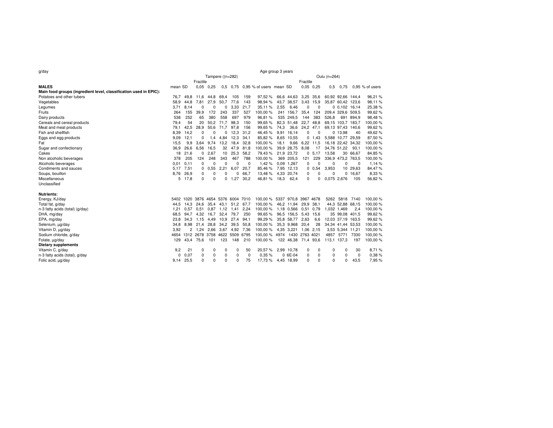| g/day                                                             | Age group 3 years |           |             |             |                  |                                    |              |                                  |      |                      |           |               |          |                   |           |                   |  |  |
|-------------------------------------------------------------------|-------------------|-----------|-------------|-------------|------------------|------------------------------------|--------------|----------------------------------|------|----------------------|-----------|---------------|----------|-------------------|-----------|-------------------|--|--|
|                                                                   |                   |           |             |             | Tampere ((n=282) |                                    | Oulu (n=264) |                                  |      |                      |           |               |          |                   |           |                   |  |  |
|                                                                   |                   |           | Fractile    |             |                  |                                    |              |                                  |      | Fractile             |           |               |          |                   |           |                   |  |  |
| <b>MALES</b>                                                      | mean SD           |           |             | $0.05$ 0.25 |                  |                                    |              | 0.5 0.75 0.95 % of users mean SD |      |                      |           | $0.05$ $0.25$ | 0,5      | 0,75              |           | $0.95$ % of users |  |  |
| Main food groups (ingredient level, classification used in EPIC): |                   |           |             |             |                  |                                    |              |                                  |      |                      |           |               |          |                   |           |                   |  |  |
| Potatoes and other tubers                                         | 76.7              | 49.8      | 11.6        | 44.8        | 69.4             | 105                                | 159          | 97,52%                           |      | 66,6 44,63 3,25 35,6 |           |               |          | 60,92 92,66 144,4 |           | 96,21 %           |  |  |
| Vegetables                                                        | 58,9              | 44,8      | 7,81        | 27,9        | 50,7             | 77,6                               | 143          | 98,94 %                          | 43,7 | 38,57                | 3,43 15,9 |               |          | 35,87 60,42 123,6 |           | 98,11%            |  |  |
| Legumes                                                           | 3,71              | 8,14      | $\Omega$    | 0           | 0                | 3,33                               | 21,7         | 35,11 %                          | 2,55 | 6,46                 | $\Omega$  | $\Omega$      |          | 0,0,102,16,14     |           | 25,38 %           |  |  |
| Fruits                                                            | 264               | 155       | 39,9        | 172         | 243              | 337                                | 527          | 100,00%                          |      | 241 156,7            | 35,4      | 124           |          | 209,4 329,6 509,5 |           | 99,62 %           |  |  |
| Dairy products                                                    | 538               | 252       | 65          | 380         | 558              | 697                                | 979          | 96,81%                           |      | 535 249,5            | 144       | 383           | 526,8    |                   | 691 894.9 | 98,48 %           |  |  |
| Cereals and cereal products                                       | 79,4              | 54        | 20          | 50,2        | 71,7             | 98,3                               | 150          | 99,65%                           |      | 82,3 51,48           |           | 22,7 48.8     |          | 69,15 103,7 183,7 |           | 100,00 %          |  |  |
| Meat and meat products                                            | 79,1              | 42,5      | 28,9        | 50,6        | 71,7             | 97,8                               | 156          | 99,65%                           | 74,3 | 36,6                 | 24,2 47,1 |               |          | 69,13 97,43 140,6 |           | 99,62 %           |  |  |
| Fish and shellfish                                                | 8,39              | 14,2      | $\mathbf 0$ | 0           | 0                | 12.3                               | 31.2         | 46,45%                           |      | 9,91 16,14           | 0         | $\mathbf 0$   |          | 0 13,98           | 40        | 49,62 %           |  |  |
| Eggs and egg products                                             | 9,09              | 12,1      | 0           | 1.4         | 4,84             | 12,3                               | 34.1         | 85,82%                           |      | 8,65 10,55           | 0         | 1,43          |          | 5,588 10,77 29,59 |           | 87,50 %           |  |  |
| Fat                                                               | 15.5              | 9,9       | 3,64        | 9.74        | 13,2             | 18,4                               | 32,8         | 100,00%                          | 18,1 | 9,66                 | 6,22      | 11,5          |          | 16,18 22,42 34,32 |           | 100,00 %          |  |  |
| Sugar and confectionary                                           | 36,9              | 26,6      | 6,56        | 16,5        | 32               | 47,9                               | 81,8         | 100,00%                          | 39.9 | 28,75                | 8,08      | 17            |          | 34,76 51,22       | 93.1      | 100,00 %          |  |  |
| Cakes                                                             | 18                | 21.6      | 0           | 2.67        |                  | 10 25,3                            | 58.2         | 79,43%                           |      | 21,9 23,72           |           | 0, 5, 17      | 13,58    |                   | 30 66,67  | 84,85 %           |  |  |
| Non alcoholic beverages                                           | 378               | 205       | 124         | 248         | 343              | 467                                | 788          | 100,00%                          |      | 369 205,5            | 121       | 229           |          | 336,9 473,2 763,5 |           | 100,00 %          |  |  |
| Alcoholic beverages                                               | 0.01              | 0.11      | 0           | 0           | 0                | 0                                  | 0            | 1,42%                            |      | 0.09 1.267           | 0         | $\Omega$      | 0        | 0                 | 0         | 1,14 %            |  |  |
| Condiments and sauces                                             | 5.17              | 7,51      | 0           | 0,55        | 2,21             | 6,07                               | 20,7         | 85,46%                           |      | 7,95 12,13           |           | 0.0,54        | 3,953    |                   | 10 29,63  | 84,47%            |  |  |
| Soups, bouillon                                                   |                   | 8,76 26,9 | 0           | 0           | $\Omega$         | 0                                  | 66.7         | 13,48%                           |      | 4,33 20,74           | 0         | 0             | 0        |                   | 0 16,67   | 8,33 %            |  |  |
| Miscellaneous                                                     |                   | 5 17,8    | $\Omega$    | 0           | 0                | 1.27                               | 30.2         | 46,81%                           | 18,3 | 62,4                 | $\Omega$  | 0             |          | 0,075 2,676       | 105       | 56,82%            |  |  |
| Unclassified                                                      |                   |           |             |             |                  |                                    |              |                                  |      |                      |           |               |          |                   |           |                   |  |  |
| <b>Nutrients:</b>                                                 |                   |           |             |             |                  |                                    |              |                                  |      |                      |           |               |          |                   |           |                   |  |  |
| Energy, KJ/day                                                    |                   |           |             |             |                  | 5402 1020 3876 4654 5376 6004 7010 |              | 100,00 % 5337 970,8 3967 4678    |      |                      |           |               |          | 5262 5818 7140    |           | 100,00 %          |  |  |
| Total fat, g/day                                                  | 44.5              | 14.3      | 24.6        | 35.4        | 43.1             | 51,2 67,7                          |              | 100,00%                          |      | 46,2 11,94           | 29,9 38,1 |               |          | 44,3 52,88 68,15  |           | 100,00 %          |  |  |
| n-3 fatty acids (total) (g/day)                                   | 1,21              | 0.57      | 0,51        | 0,87        | 1,12             | 1,41                               | 2,24         | 100,00%                          |      | 1,18 0,566           | 0,51 0,79 |               |          | 1,032 1,469       | 2.4       | 100,00 %          |  |  |
| DHA, mg/day                                                       | 68.5              | 94.7      | 4,32        | 16.7        | 32,4             | 79,7                               | 250          | 99,65%                           |      | 96.5 156.5           | 5,43      | 15,6          |          | 35 99.08 401.5    |           | 99,62 %           |  |  |
| EPA, mg/day                                                       | 23.8              | 34.3      | 1.15        | 4.49        | 10,9             | 27,4                               | 94.1         | 99,29%                           |      | 35,8 58,77           | 2,63      | 6,6           |          | 12,03 37,19 163,5 |           | 99,62 %           |  |  |
| Selenium, µg/day                                                  | 34,8              | 8,98      | 21,4        | 28,8        |                  | 34,2 39,5                          | 50,8         | 100,00%                          |      | 35.3 9.968           | 20,4      | 28            |          | 34,34 41,44 53,53 |           | 100,00 %          |  |  |
| Vitamin D, µg/day                                                 | 3.92              | 2         | 1.24        | 2.66        | 3.67 4.92        |                                    | 7,36         | 100,00 %                         |      | 4.35 3.221           | 1,06 2,15 |               |          | 3,53 5,344 11,21  |           | 100,00 %          |  |  |
| Sodium chloride, g/day                                            | 4654              |           |             |             |                  | 1312 2678 3758 4622 5509 6795      |              | 100,00 % 4974 1430 2763 4021     |      |                      |           |               | 4857     | 5771              | 7330      | 100,00 %          |  |  |
| Folate, µg/day                                                    | 129               | 43.4      | 75,6        | 101         | 123              | 148                                | 210          | 100,00%                          |      | 122 46,38 71,4 93,6  |           |               |          | 113,1 137,3       | 197       | 100,00 %          |  |  |
| <b>Dietary supplements</b>                                        |                   |           |             |             |                  |                                    |              |                                  |      |                      |           |               |          |                   |           |                   |  |  |
| Vitamin C, g/day                                                  | 9,2               | 21        | $\Omega$    | 0           | 0                | 0                                  | 50           | 20,57%                           |      | 2,99 10,78           | 0         | 0             | 0        | 0                 | 30        | 8,71 %            |  |  |
| n-3 fatty acids (total), g/day                                    | 0                 | 0.07      | 0           | 0           | 0                | 0                                  | 0            | 0.35%                            |      | $06E-04$             | 0         | 0             | 0        | 0                 | 0         | 0,38 %            |  |  |
| Folic acid, µg/day                                                | 9,14              | 25,5      | $\Omega$    | $\Omega$    | $\Omega$         | 0                                  | 75           | 17,73%                           |      | 4,45 18,99           | $\Omega$  | $\Omega$      | $\Omega$ | 0                 | 43,5      | 7,95 %            |  |  |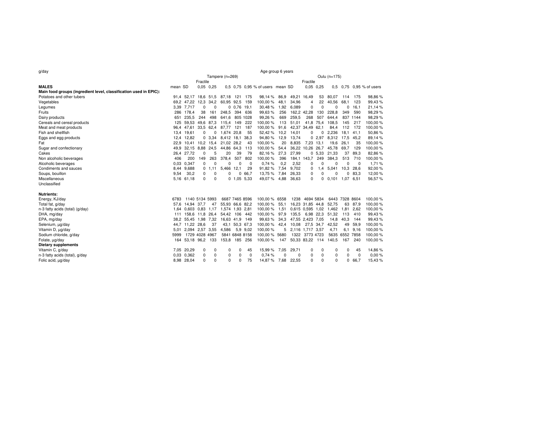| g/day                                                             | Age group 6 years |                         |             |             |                         |                |          |                                  |      |       |                  |               |                       |                |            |                          |  |  |  |  |
|-------------------------------------------------------------------|-------------------|-------------------------|-------------|-------------|-------------------------|----------------|----------|----------------------------------|------|-------|------------------|---------------|-----------------------|----------------|------------|--------------------------|--|--|--|--|
|                                                                   | Tampere (n=269)   |                         |             |             |                         |                |          |                                  |      |       | Oulu (n=175)     |               |                       |                |            |                          |  |  |  |  |
|                                                                   |                   | Fractile                | Fractile    |             |                         |                |          |                                  |      |       |                  |               |                       |                |            |                          |  |  |  |  |
| <b>MALES</b>                                                      | mean SD           |                         |             | $0.05$ 0,25 |                         |                |          | 0.5 0.75 0.95 % of users mean SD |      |       |                  | $0.05$ $0.25$ |                       |                |            | 0.5 0.75 0.95 % of users |  |  |  |  |
| Main food groups (ingredient level, classification used in EPIC): |                   |                         |             |             |                         |                |          |                                  |      |       |                  |               |                       |                |            |                          |  |  |  |  |
| Potatoes and other tubers                                         |                   | 91,4 52,17 18,6 51,5    |             |             | 87,18 121 175           |                |          | 98,14 %                          | 86.9 |       | 49,21 16,49      | 53            | 80,07                 | 114            | 175        | 98,86 %                  |  |  |  |  |
| Vegetables                                                        |                   | 69,2 47,22              |             | 12,3 34,2   | 60,95 92,5              |                | 159      | 100,00%                          | 48,1 | 34,96 | 4                | 22            | 40,56                 | 68,1           | 123        | 99,43 %                  |  |  |  |  |
| Legumes                                                           |                   | 3,39 7,717              | $\mathbf 0$ | 0           |                         | 0,0.76,19.1    |          | 30,48%                           | 1,92 | 6,089 | 0                | 0             | $\mathbf 0$           | 0              | 16.1       | 21,14 %                  |  |  |  |  |
| Fruits                                                            |                   | 286 178,4               | 38          | 161         | 248,5                   |                | 394 636  | 99,63%                           | 256  |       | 162,2 42,28      | 130           | 228,8                 | 349            | 590        | 98,29%                   |  |  |  |  |
| Dairy products                                                    | 651               | 235.5                   | 244         | 498         | 641.6                   |                | 805 1028 | 99,26%                           | 669  | 259,5 | 268              | 507           | 644.4                 |                | 837 1144   | 98,29 %                  |  |  |  |  |
| Cereals and cereal products                                       | 125               | 59.53                   |             | 49,6 87,3   | 115,4 149               |                | 222      | 100,00%                          | 113  | 51,01 |                  | 41,8 75,4     | 108,5                 | 145            | 217        | 100,00 %                 |  |  |  |  |
| Meat and meat products                                            |                   | 96,4 47,61              |             | 33,5 62,4   | 87,77                   | 121            | 187      | 100,00%                          | 91,6 |       | 42,37 34,49 62,1 |               | 84,4                  | 112            | 172        | 100,00 %                 |  |  |  |  |
| Fish and shellfish                                                |                   | 13,4 19,61              | 0           | 0           | 1,674 20,8              |                | 55       | 52,42%                           | 10,2 | 14,01 | 0                | 0             | 2,236                 | 18,1           | 41.1       | 50,86 %                  |  |  |  |  |
| Eggs and egg products                                             |                   | 12.4 12.82              |             | 0, 3, 34    | 8,412 18,1 38,3         |                |          | 94,80%                           | 12,9 | 13,74 |                  | 02.97         | 8,312                 | 17,5           | 45.2       | 89,14 %                  |  |  |  |  |
| Fat                                                               |                   | 22,9 10,41 10,2 15,4    |             |             | 21,02 28,2              |                | -43      | 100,00%                          | 20   | 8.835 | 7,23 13,1        |               | 19.6                  | 26,1           | 35         | 100,00%                  |  |  |  |  |
| Sugar and confectionary                                           | 49.9              | 32,15 8,88 24,5         |             |             | 44,86 64,3              |                | 113      | 100,00%                          | 54,4 |       | 36,22 10,26 26,7 |               | 45.78                 | 69,7           | 129        | 100,00%                  |  |  |  |  |
| Cakes                                                             |                   | 26,4 27,72              | 0           | 5           | 20                      | 39             | 79       | 82,16%                           | 27,3 | 27,99 |                  | 0, 5, 33      | 21,33                 | 37             | 89,3       | 82,86 %                  |  |  |  |  |
| Non alcoholic beverages                                           | 406               | 200                     | 149         | 263         | 378.4                   | 507            | 802      | 100,00%                          | 396  |       | 184,1 143,7      | 249           | 384,3                 | 513            | 710        | 100,00%                  |  |  |  |  |
| Alcoholic beverages                                               | 0,03              | 0.347                   | 0           | 0           | 0                       | $\Omega$       | 0        | 0,74%                            | 0,2  | 2,52  | 0                | 0             | 0                     | 0              | $^{\circ}$ | 1,71%                    |  |  |  |  |
| Condiments and sauces                                             | 8.44              | 9,688                   |             | 0, 1, 11    | 5,466 12,1              |                | 29       | 91,82%                           | 7,54 | 9,702 | 0                | 1,4           | 5,041                 | 10,3           | 28,6       | 92,00 %                  |  |  |  |  |
| Soups, bouillon                                                   | 9.54              | 30,2                    | 0           | 0           | $\Omega$                | 0              | 66.7     | 13,75 %                          | 7.84 | 26,33 | 0                | 0             | 0                     | 0              | 83.3       | 12,00 %                  |  |  |  |  |
| Miscellaneous                                                     |                   | 5,16 61,18              | $\Omega$    | $\mathbf 0$ |                         | $0$ 1.05 5.33  |          | 49,07%                           | 4,88 | 36,63 | 0                | 0             | $0,101$ 1,07          |                | 6,51       | 56,57%                   |  |  |  |  |
| Unclassified                                                      |                   |                         |             |             |                         |                |          |                                  |      |       |                  |               |                       |                |            |                          |  |  |  |  |
|                                                                   |                   |                         |             |             |                         |                |          |                                  |      |       |                  |               |                       |                |            |                          |  |  |  |  |
| <b>Nutrients:</b>                                                 |                   |                         |             |             |                         |                |          |                                  |      |       |                  |               |                       |                |            |                          |  |  |  |  |
| Energy, KJ/day                                                    | 6783              | 1140 5134 5993          |             |             | 6687 7465 8596          |                |          | 100,00 % 6558                    |      |       | 1238 4694 5834   |               |                       | 6443 7328 8604 |            | 100,00 %                 |  |  |  |  |
| Total fat, g/day                                                  |                   | 57,6 14,94 37,7         |             | 47          | 55,93 66,6 82,2         |                |          | 100,00%                          | 55,1 |       | 16,23 31,85 44,8 |               | 52,75                 |                | 63 87.9    | 100,00 %                 |  |  |  |  |
| n-3 fatty acids (total) (g/day)                                   |                   | 1.64 0.603 0.83 1.17    |             |             | 1.574 1.93 2.81         |                |          | 100.00%                          | 1,51 |       | 0,615 0,595 1,02 |               | 1,462                 | 1,81           | 2.62       | 100,00 %                 |  |  |  |  |
| DHA, mg/day                                                       |                   | 111 158,6               |             | 11,8 26,4   | 54,42                   | 106            | 442      | 100,00%                          | 97,9 | 135,5 |                  | 6,98 22,3     | 51,32                 | 113            | 410        | 99,43 %                  |  |  |  |  |
| EPA, mg/day                                                       |                   | 38,2 55,45              |             | 1,98 7,32   | 16,63 41,9              |                | 149      | 99,63%                           | 34,3 |       | 47,55 2,423 7,05 |               | 14,8                  | 40,3           | 144        | 99,43 %                  |  |  |  |  |
| Selenium, µg/day                                                  |                   | 44,7 11,22              | 28,6        | 37          |                         | 43.1 50.3 67.3 |          | 100,00%                          | 42,4 | 10,08 |                  | 27.5 34,7     | 42,52                 | 49             | 59,9       | 100,00 %                 |  |  |  |  |
| Vitamin D, ug/day                                                 | 5,01              | 2.094<br>1729 4028 4967 | 2.57        | 3,55        | 4,586<br>5841 6848 8158 |                | 5,9 9,02 | 100,00%                          | 5    |       | 2,116 1,717 3,57 |               | 4,71<br>5635          | 6,1            | 9,16       | 100,00 %                 |  |  |  |  |
| Sodium chloride, g/day                                            | 5999              |                         |             |             |                         |                |          | 100.00 % 5680                    |      |       | 1322 3773 4723   |               |                       | 6552 7858      |            | 100,00%                  |  |  |  |  |
| Folate, µg/day                                                    | 164               | 53,18 96,2 133          |             |             | 153,8                   |                | 185 256  | 100.00%                          | 147  |       |                  |               | 50,33 83,22 114 140,5 | 167            | 240        | 100,00 %                 |  |  |  |  |
| <b>Dietary supplements</b>                                        |                   |                         |             |             |                         |                |          |                                  |      |       |                  |               |                       |                |            |                          |  |  |  |  |
| Vitamin C, g/day                                                  |                   | 7.05 20.29              | 0           | 0           | 0                       | 0              | 45       | 15,99 %                          | 7.05 | 29,71 | 0                | 0             | 0                     | 0              | 45         | 14,86 %                  |  |  |  |  |
| n-3 fatty acids (total), g/day                                    |                   | 0.03 0.362              | 0           | 0           | 0                       | 0              | 0        | 0.74%                            | 0    | 0     | 0                | 0             | 0                     | 0              | $\Omega$   | 0,00%                    |  |  |  |  |
| Folic acid, µg/day                                                |                   | 8,98 28,04              | $\Omega$    | $\Omega$    | $\Omega$                | $\Omega$       | 75       | 14,87 % 7,68                     |      | 22,55 | 0                | 0             | 0                     | 0              | 66,7       | 15,43 %                  |  |  |  |  |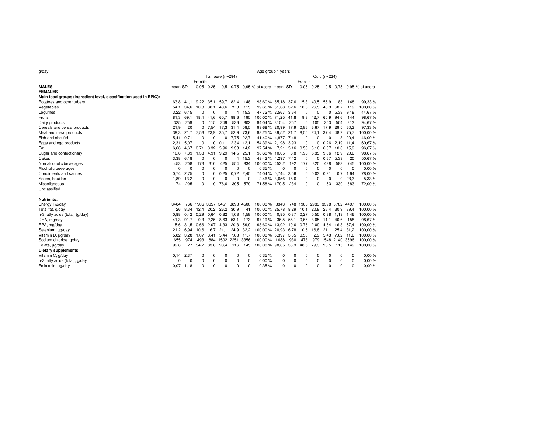| g/day                                                             | Age group 1 years |           |                     |             |                    |           |          |                                   |      |           |      |                              |             |                    |           |                          |  |  |  |
|-------------------------------------------------------------------|-------------------|-----------|---------------------|-------------|--------------------|-----------|----------|-----------------------------------|------|-----------|------|------------------------------|-------------|--------------------|-----------|--------------------------|--|--|--|
|                                                                   |                   |           |                     |             | Tampere (n=294)    |           |          | Oulu (n=234)                      |      |           |      |                              |             |                    |           |                          |  |  |  |
|                                                                   | Fractile          |           |                     |             |                    |           |          | Fractile                          |      |           |      |                              |             |                    |           |                          |  |  |  |
| <b>MALES</b>                                                      | mean SD           |           |                     | $0.05$ 0.25 |                    |           |          | 0.5 0.75 0.95 % of users mean SD  |      |           |      | $0.05$ 0.25                  |             |                    |           | 0.5 0.75 0.95 % of users |  |  |  |
| <b>FEMALES</b>                                                    |                   |           |                     |             |                    |           |          |                                   |      |           |      |                              |             |                    |           |                          |  |  |  |
| Main food groups (ingredient level, classification used in EPIC): |                   |           |                     |             |                    |           |          |                                   |      |           |      |                              |             |                    |           |                          |  |  |  |
| Potatoes and other tubers                                         | 63.8              | 41.1      |                     | 9,22 35,1   |                    | 59,7 82,4 | 148      | 98,60 % 65,18 37,6 15,3 40,5 56,9 |      |           |      |                              |             | 83                 | 148       | 99,33 %                  |  |  |  |
| Vegetables                                                        | 54.1              | 34,6      | 10,8                | 30,1        | 48,6               | 72,3      | 115      | 99,65 % 51,68                     |      | 32,6      | 10,6 |                              | 26,5 46,3   | 68,7               | 119       | 100,00 %                 |  |  |  |
| Legumes                                                           | 3.22              | 6,15      | 0                   | 0           | 0                  | 4         | 15,3     | 47,72 % 2,567 3,64                |      |           | 0    | 0                            | 0           | 5,33               | 9,18      | 44,67 %                  |  |  |  |
| Fruits                                                            | 81.3              | 69.1      | 18,4                | 41,6        | 65,7               | 98,6      | 195      | 100.00 % 71.25                    |      | 41,8      | 9,8  | 42,7                         | 65,9        | 94,6               | 144       | 98,67%                   |  |  |  |
| Dairy products                                                    | 325               | 259       | $\mathbf 0$         | 115         | 249                | 536       | 802      | 94,04 % 315,4                     |      | 257       | 0    | 105                          | 253         | 504                | 813       | 94,67%                   |  |  |  |
| Cereals and cereal products                                       | 21,9              | 20        | 0                   | 7.54        | 17,3               | 31.4      | 58.5     | 93,68 % 20,99                     |      | 17,9      | 0.86 | 6,67                         | 17,9        | 29,5               | 60.3      | 97,33 %                  |  |  |  |
| Meat and meat products                                            | 39,3              | 21.7      | 7,56                | 23,9        | 35,7               | 52,9      | 73.6     | 98,25 % 39,52 21,7                |      |           | 8,55 | 24,1                         | 37,4        | 48,9               | 75,7      | 100,00 %                 |  |  |  |
| Fish and shellfish                                                | 5,41              | 9,71      | 0                   | 0           | 0                  | 7.75      | 22.7     | 41,40 % 4,877 7,48                |      |           | 0    | 0                            | 0           | 8                  | 20,4      | 46,00 %                  |  |  |  |
| Eggs and egg products                                             | 2,31              | 5,07      | $\mathbf 0$         | $\mathbf 0$ | 0.11               | 2,34 12,1 |          | 54,39 % 2,198                     |      | 3,93      | 0    | 0                            | 0.26        | 2,19               | 11,4      | 60,67%                   |  |  |  |
| Fat                                                               | 6.66              | 4,67      | 0.71                | 3,32        | 5,96               | 9,38      | 14.2     | 97,54 %                           | 7,21 | 5,16      | 0,58 |                              | 3,16 6,07   | 10,6               | 15,9      | 96,67%                   |  |  |  |
| Sugar and confectionary                                           | 10.6              | 7,89      | 1,33                | 4,91        | 9,29               | 14,5      | 25,1     | 98,60 % 10,05                     |      | 6,8       | 1,96 |                              | 5,35 9,36   | 12,9               | 20,6      | 98,67%                   |  |  |  |
| Cakes                                                             | 3.38              | 6,18      | 0                   | 0           | 0                  | 4         | 15,3     | 48,42 % 4,297 7,42                |      |           | 0    | 0                            | 0.67        | 5,33               | 20        | 50,67 %                  |  |  |  |
| Non alcoholic beverages                                           | 453               | 208       | 173                 | 310         | 425                | 554       | 834      | 100.00 % 453.2                    |      | 192       | 177  | 320                          | 438         | 583                | 745       | 00,00 %                  |  |  |  |
| Alcoholic beverages                                               | $\Omega$          | 0         | $\Omega$            | $\Omega$    | $\Omega$           | $\Omega$  | $\Omega$ | 0.35%                             | O    | $\Omega$  | 0    | $\Omega$                     | $\Omega$    | $\Omega$           | $\Omega$  | 0.00%                    |  |  |  |
| Condiments and sauces                                             | 0.74              | 2,75      | 0                   | 0           | 0.25               | 0,72      | 2,45     | 74,04 % 0,744 3,56                |      |           | 0    | 0.03                         | 0,21        | 0,7                | 1,64      | 78,00 %                  |  |  |  |
| Soups, bouillon                                                   | 1,89              | 13,2      | $\Omega$            | $\Omega$    | $\Omega$           | $\Omega$  | $\Omega$ | 2,46 % 3,656                      |      | 16.6      | 0    | 0                            | 0           | 0                  | 23,3      | 5,33 %                   |  |  |  |
| Miscellaneous                                                     | 174               | 205       | $\Omega$            | 0           | 76,6               | 305       | 579      | 71,58 % 179,5                     |      | 234       | 0    | $\Omega$                     | 53          | 339                | 683       | 72,00 %                  |  |  |  |
| Unclassified                                                      |                   |           |                     |             |                    |           |          |                                   |      |           |      |                              |             |                    |           |                          |  |  |  |
|                                                                   |                   |           |                     |             |                    |           |          |                                   |      |           |      |                              |             |                    |           |                          |  |  |  |
| <b>Nutrients:</b>                                                 |                   |           |                     |             |                    |           |          |                                   |      |           |      |                              |             |                    |           |                          |  |  |  |
| Energy, KJ/day                                                    | 3404              |           | 766 1906 3057 3451  |             |                    | 3893 4500 |          | 100,00%                           | 3343 |           |      | 748 1966 2933 3398 3782 4497 |             |                    |           | 100,00 %                 |  |  |  |
| Total fat, g/day                                                  | 26                |           | 8,34 12,4 20,2 26,2 |             |                    | 30,9      | 41       | 100,00 % 25,78                    |      | 8,29      | 10,1 |                              | 20,8 26,4   |                    | 30,9 39,4 | 100,00 %                 |  |  |  |
| n-3 fatty acids (total) (g/day)                                   | 0.88              |           | $0,42$ 0.29         | 0,64        | 0,82               | 1,08      | 1,58     | 100,00%                           |      | 0.85 0.37 | 0,27 |                              | $0.55$ 0.88 | 1,13               | 1,46      | 100,00 %                 |  |  |  |
| DHA, mg/day                                                       | 41.3              | 91,7      |                     | $0.3$ 2.25  | 8,63               | 53,1      | 173      | 97,19%                            |      | 36,5 56,1 |      | $0.66$ 3.05 11.1             |             | 40,6               | 158       | 98,67%                   |  |  |  |
| EPA, mg/day                                                       | 15,6              | 31.5      | 0.66                | 2,07        | 4,33               | 20,3      | 59,9     | 98,60 % 13,92 19,6                |      |           | 0,76 | 2,09                         | 4,64        | 16,8               | 57,4      | 100,00 %                 |  |  |  |
| Selenium, µg/day                                                  |                   | 21,2 6,94 | 10,6                | 16,7        | 21,1               | 24,9      | 32,2     | 100,00 % 20,93 6,78               |      |           | 10.6 |                              | 16,8 21,1   |                    | 25,4 31,2 | 100,00%                  |  |  |  |
| Vitamin D, µg/day                                                 | 5,82              | 3,28      | 1,07                |             | 3,41 5,44          | 7,63      | 11,7     | 100,00 % 5,397 3,35               |      |           | 0.53 |                              | 2,9 5,43    | 7,62 11,6          |           | 100,00%                  |  |  |  |
| Sodium chloride, g/day                                            | 1655              | 974       | 493                 |             | 884 1502 2251 3356 |           |          | 100,00%                           | 1688 | 930       | 478  |                              |             | 979 1548 2140 3596 |           | 100,00%                  |  |  |  |
| Folate, µg/day                                                    | 99.8              | 27        | 54.7                | 83,8        | 98,4               | 116       | 145      | 100,00 % 98,85 33,3 48,5          |      |           |      |                              | 79,3 96,5   | 115                | 149       | 100,00%                  |  |  |  |
| <b>Dietary supplements</b>                                        |                   |           |                     |             |                    |           |          |                                   |      |           |      |                              |             |                    |           |                          |  |  |  |
| Vitamin C, g/day                                                  | 0.14              | 2,37      | 0                   | 0           | 0                  | 0         | 0        | 0.35%                             | 0    | 0         | 0    | 0                            | 0           | 0                  | 0         | 0.00%                    |  |  |  |
| n-3 fatty acids (total), g/day                                    | $\Omega$          | $\Omega$  | 0                   | 0           | 0                  | 0         | $\Omega$ | 0.00%                             | 0    | 0         | 0    | 0                            | 0           | 0                  | 0         | 0.00%                    |  |  |  |
| Folic acid, µg/day                                                | 0.07              | 1,18      | 0                   | $\mathbf 0$ | 0                  | $\Omega$  | $\Omega$ | 0.35%                             | 0    | 0         | 0    | $\Omega$                     | $\Omega$    | $\Omega$           | $\Omega$  | 0.00%                    |  |  |  |
|                                                                   |                   |           |                     |             |                    |           |          |                                   |      |           |      |                              |             |                    |           |                          |  |  |  |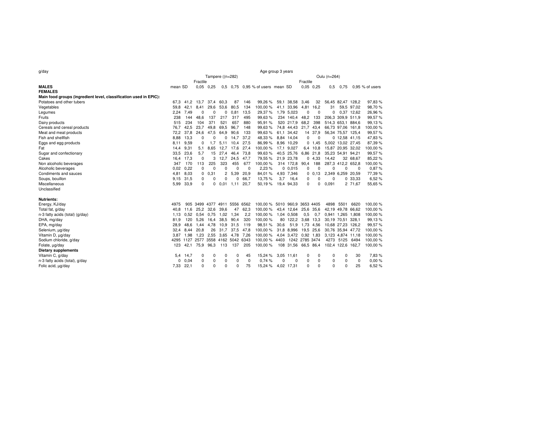| g/day                                                             | Age group 3 years                |           |                               |             |                |           |          |                                  |      |                      |           |               |                   |                   |            |                   |
|-------------------------------------------------------------------|----------------------------------|-----------|-------------------------------|-------------|----------------|-----------|----------|----------------------------------|------|----------------------|-----------|---------------|-------------------|-------------------|------------|-------------------|
|                                                                   | Tampere ((n=282)<br>Oulu (n=264) |           |                               |             |                |           |          |                                  |      |                      |           |               |                   |                   |            |                   |
|                                                                   |                                  |           | Fractile                      |             |                |           |          |                                  |      |                      | Fractile  |               |                   |                   |            |                   |
| <b>MALES</b>                                                      | mean SD                          |           |                               | $0.05$ 0.25 |                |           |          | 0.5 0.75 0.95 % of users mean SD |      |                      |           | $0.05$ $0.25$ | 0.5               | 0.75              |            | $0.95$ % of users |
| <b>FEMALES</b>                                                    |                                  |           |                               |             |                |           |          |                                  |      |                      |           |               |                   |                   |            |                   |
| Main food groups (ingredient level, classification used in EPIC): |                                  |           |                               |             |                |           |          |                                  |      |                      |           |               |                   |                   |            |                   |
| Potatoes and other tubers                                         |                                  | 67,3 41,2 | 13,7                          | 37,4        | 60,3           | 87        | 146      | 99,26%                           | 59,1 | 38,58                | 3,46      | 32            |                   | 56,45 82,47 128,2 |            | 97,83 %           |
| Vegetables                                                        | 59.8                             | 42.1      | 8.41                          | 29.6        | 53.6           | 80.5      | 134      | 100.00%                          |      | 41,1 33,96           | 4,81      | 16.2          | 31                |                   | 59.5 97.02 | 98.70%            |
| Legumes                                                           |                                  | 2,24 7,49 | O                             | $\Omega$    | 0              | 0,81      | 13,5     | 29,37%                           |      | 1,79 5,023           | 0         | 0             | 0                 | 0.37 12,62        |            | 26,96 %           |
| Fruits                                                            | 238                              | 144       | 48.6                          | 137         | 217            | 317       | 495      | 99.63%                           |      | 234 140.4            | 48,2      | 133           | 206.3             | 309.9 511.9       |            | 99.57%            |
| Dairy products                                                    | 515                              | 234       | 104                           | 371         | 521            | 657       | 880      | 95,91%                           |      | 520 217,9            | 68,2      | 398           | 514,3 653,1 884,6 |                   |            | 99,13%            |
| Cereals and cereal products                                       | 76.7                             | 42.5      | 23.7                          | 49.8        | 69.5           | 96.7      | 148      | 99,63%                           |      | 74,8 44,43           | 21,7 43,4 |               |                   | 66,73 97,06 161,8 |            | 100,00 %          |
| Meat and meat products                                            | 72,2                             | 37,8      | 24,6                          | 47,5        | 64,9           | 90,6      | 133      | 99,63%                           |      | 61,1 34,42           |           | 14 37,9       | 56,34 75,57 125,4 |                   |            | 99,57%            |
| Fish and shellfish                                                | 8.88                             | 13.3      | 0                             | 0           | 0              | 14.7      | 37.2     | 48,33%                           |      | 8.84 14.04           | 0         | 0             |                   | $0$ 12.58 41.15   |            | 47.83%            |
| Eggs and egg products                                             | 8.11                             | 9,59      | 0                             | 1.7         | 5,11           | 10,4      | 27,5     | 86,99%                           |      | 8,96 10,29           |           | 0 1,45        | 5,002 13,02 27,45 |                   |            | 87,39 %           |
| Fat                                                               | 14.4                             | 9.31      | 5.1                           | 8.65        | 12.7           | 17.6      | 27.4     | 100.00%                          |      | 17.1 9.027           |           | 6.4 10.8      | 15.87             | 20.95 32.02       |            | 100,00 %          |
| Sugar and confectionary                                           | 33,5                             | 23,6      | 5,7                           | 15          | 27,4           | 46,4      | 73,8     | 99,63%                           |      | 40,5 25,76           |           | 6,86 21,8     |                   | 35,23 54,91 94,21 |            | 99,57%            |
| Cakes                                                             | 16.4                             | 17.3      | 0                             | 3           | 12.7           | 24,5      | 47.7     | 79,55 %                          |      | 21,9 23,78           |           | 0, 4.33       | 14.42             |                   | 32 68.67   | 85,22 %           |
| Non alcoholic beverages                                           | 347                              | 170       | 113                           | 225         | 323            | 455       | 677      | 100,00%                          |      | 314 172,8            | 90,4      | 188           |                   | 287,3 412,2 652,8 |            | 100,00 %          |
| Alcoholic beverages                                               | 0.02                             | 0.22      | 0                             | $\Omega$    | 0              | $\Omega$  | $\Omega$ | 2.23%                            |      | 0.015                | 0         | O             | U                 | $\Omega$          | - 0        | 0.87%             |
| Condiments and sauces                                             | 4,81                             | 8,03      | 0                             | 0,31        | $\overline{c}$ | 5,39      | 20,9     | 84,01%                           |      | 4,93 7,346           |           | 0, 0.13       | 2,349 6,259       |                   | 20,59      | 77,39 %           |
| Soups, bouillon                                                   | 9.15                             | 31.5      | 0                             | $\Omega$    | $\Omega$       | ŋ         | 66.7     | 13,75%                           | 3,7  | 16.4                 | 0         | O             | 0                 |                   | 0 33,33    | 6,52%             |
| Miscellaneous                                                     | 5,99                             | 33,9      | 0                             | 0           | 0.01           | 1.11      | 20,7     | 50,19%                           |      | 19,4 94,33           | 0         | 0             | 0,091             |                   | 2 71,67    | 55,65 %           |
| Unclassified                                                      |                                  |           |                               |             |                |           |          |                                  |      |                      |           |               |                   |                   |            |                   |
|                                                                   |                                  |           |                               |             |                |           |          |                                  |      |                      |           |               |                   |                   |            |                   |
| <b>Nutrients:</b>                                                 |                                  |           |                               |             |                |           |          |                                  |      |                      |           |               |                   |                   |            |                   |
| Energy, KJ/day                                                    | 4975                             | 905       | 3499                          | 4377        | 4911           | 5556 6562 |          | 100.00 % 5010 960.9 3653 4405    |      |                      |           |               | 4898              | 5501              | 6620       | 100.00%           |
| Total fat, g/day                                                  | 40.8                             | 11.6      | 25.2 32.6                     |             | 39.6           | 47        | 62,3     | 100,00%                          |      | 43,4 12,64           | 25.6 35.6 |               |                   | 42,19 49,78 66,62 |            | 100,00 %          |
| n-3 fatty acids (total) (g/day)                                   | 1.13                             |           | 0.52 0.54 0.75                |             | 1.02           | 1,34      | 2,2      | 100,00%                          |      | 1,04 0,508           | 0,5       | 0,7           | 0,941 1,265 1,808 |                   |            | 100,00%           |
| DHA, mg/day                                                       | 81.9                             | 120       | 5.26                          | 16,4        | 38,5           | 90,4      | 320      | 100,00%                          |      | 80 122,2             | 3,68 13,3 |               |                   | 30.19 70.51       | 328.1      | 99.13%            |
| EPA, mg/day                                                       | 28.9                             | 48,6      | 1.44                          | 4,78        | 10,9           | 31,5      | 119      | 98,51%                           | 30,6 | 51,9                 | 1,73 4,56 |               | 10,68 27,23 126,2 |                   |            | 99,57%            |
| Selenium, µg/day                                                  | 32.4                             | 8.44      | 20.8                          | 26          | 31.7           | 37.5      | 47.8     | 100,00%                          |      | 31,8 8,996           | 19,5 25,6 |               | 30,76 35,94 47,72 |                   |            | 100,00 %          |
| Vitamin D, µg/day                                                 |                                  | 3.87 1.98 | 1.23                          | 2,55        | 3.65           | 4.78      | 7.26     | 100,00%                          |      | 4,04 3,472 0,92 1,83 |           |               | 3,123 4,874 11,18 |                   |            | 100,00 %          |
| Sodium chloride, g/day                                            | 4295                             |           | 1127 2577 3558 4162 5042 6343 |             |                |           |          | 100,00 % 4403 1242 2785 3474     |      |                      |           |               |                   | 4273 5125 6494    |            | 100,00 %          |
| Folate, ug/day                                                    | 123                              | 42,1      | 75,9                          | 96.3        | 113            | 137       | 205      | 100,00%                          |      | 108 31,56 66,5 86,4  |           |               | 102,4 122,6 162,7 |                   |            | 100,00 %          |
| <b>Dietary supplements</b>                                        |                                  |           |                               |             |                |           |          |                                  |      |                      |           |               |                   |                   |            |                   |
| Vitamin C, g/day                                                  | 5,4                              | 14,7      | 0                             | 0           | 0              | 0         | 45       | 15,24 %                          | 3,05 | 11,61                | 0         | 0             | 0                 | 0                 | 30         | 7,83 %            |
| n-3 fatty acids (total), g/day                                    | 0                                | 0,04      | 0                             | 0           | 0              | 0         | 0        | 0.74%                            | 0    | 0                    | 0         | 0             | $\Omega$          | $\Omega$          | 0          | 0.00%             |
| Folic acid, µg/day                                                | 7,33 22,1                        |           | $\Omega$                      | $\Omega$    | $\Omega$       | $\Omega$  | 75       | 15,24 %                          |      | 4,02 17,31           | 0         | $\Omega$      | $\Omega$          | $\Omega$          | 25         | 6,52%             |